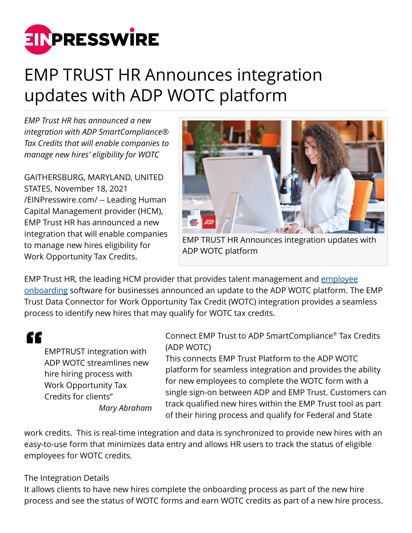

## EMP TRUST HR Announces integration updates with ADP WOTC platform

*EMP Trust HR has announced a new integration with ADP SmartCompliance® Tax Credits that will enable companies to manage new hires' eligibility for WOTC*

GAITHERSBURG, MARYLAND, UNITED STATES, November 18, 2021 [/EINPresswire.com/](http://www.einpresswire.com) -- Leading Human Capital Management provider (HCM), EMP Trust HR has announced a new integration that will enable companies to manage new hires eligibility for Work Opportunity Tax Credits.



EMP TRUST HR Announces integration updates with ADP WOTC platform

EMP Trust HR, the leading HCM provider that provides talent management and [employee](https://www.emptrust.com/Products/employee-onboarding-software.aspx) [onboarding](https://www.emptrust.com/Products/employee-onboarding-software.aspx) software for businesses announced an update to the ADP WOTC platform. The EMP Trust Data Connector for Work Opportunity Tax Credit (WOTC) integration provides a seamless process to identify new hires that may qualify for WOTC tax credits.

"

EMPTRUST integration with ADP WOTC streamlines new hire hiring process with Work Opportunity Tax Credits for clients" *Mary Abraham*

Connect EMP Trust to ADP SmartCompliance® Tax Credits (ADP WOTC)

This connects EMP Trust Platform to the ADP WOTC platform for seamless integration and provides the ability for new employees to complete the WOTC form with a single sign-on between ADP and EMP Trust. Customers can track qualified new hires within the EMP Trust tool as part of their hiring process and qualify for Federal and State

work credits. This is real-time integration and data is synchronized to provide new hires with an easy-to-use form that minimizes data entry and allows HR users to track the status of eligible employees for WOTC credits.

## The Integration Details

It allows clients to have new hires complete the onboarding process as part of the new hire process and see the status of WOTC forms and earn WOTC credits as part of a new hire process.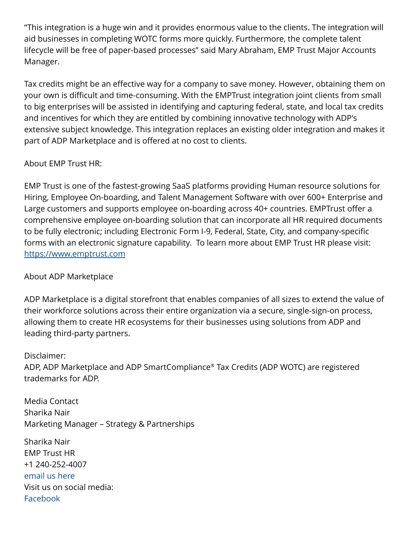"This integration is a huge win and it provides enormous value to the clients. The integration will aid businesses in completing WOTC forms more quickly. Furthermore, the complete talent lifecycle will be free of paper-based processes" said Mary Abraham, EMP Trust Major Accounts Manager.

Tax credits might be an effective way for a company to save money. However, obtaining them on your own is difficult and time-consuming. With the EMPTrust integration joint clients from small to big enterprises will be assisted in identifying and capturing federal, state, and local tax credits and incentives for which they are entitled by combining innovative technology with ADP's extensive subject knowledge. This integration replaces an existing older integration and makes it part of ADP Marketplace and is offered at no cost to clients.

## About EMP Trust HR:

EMP Trust is one of the fastest-growing SaaS platforms providing Human resource solutions for Hiring, Employee On-boarding, and Talent Management Software with over 600+ Enterprise and Large customers and supports employee on-boarding across 40+ countries. EMPTrust offer a comprehensive employee on-boarding solution that can incorporate all HR required documents to be fully electronic; including Electronic Form I-9, Federal, State, City, and company-specific forms with an electronic signature capability. To learn more about EMP Trust HR please visit: <https://www.emptrust.com>

## About ADP Marketplace

ADP Marketplace is a digital storefront that enables companies of all sizes to extend the value of their workforce solutions across their entire organization via a secure, single-sign-on process, allowing them to create HR ecosystems for their businesses using solutions from ADP and leading third-party partners.

Disclaimer: ADP, ADP Marketplace and ADP SmartCompliance® Tax Credits (ADP WOTC) are registered trademarks for ADP.

Media Contact Sharika Nair Marketing Manager – Strategy & Partnerships

Sharika Nair EMP Trust HR +1 240-252-4007 [email us here](http://www.einpresswire.com/contact_author/3198480) Visit us on social media: [Facebook](https://www.facebook.com/EMPTrustHR)